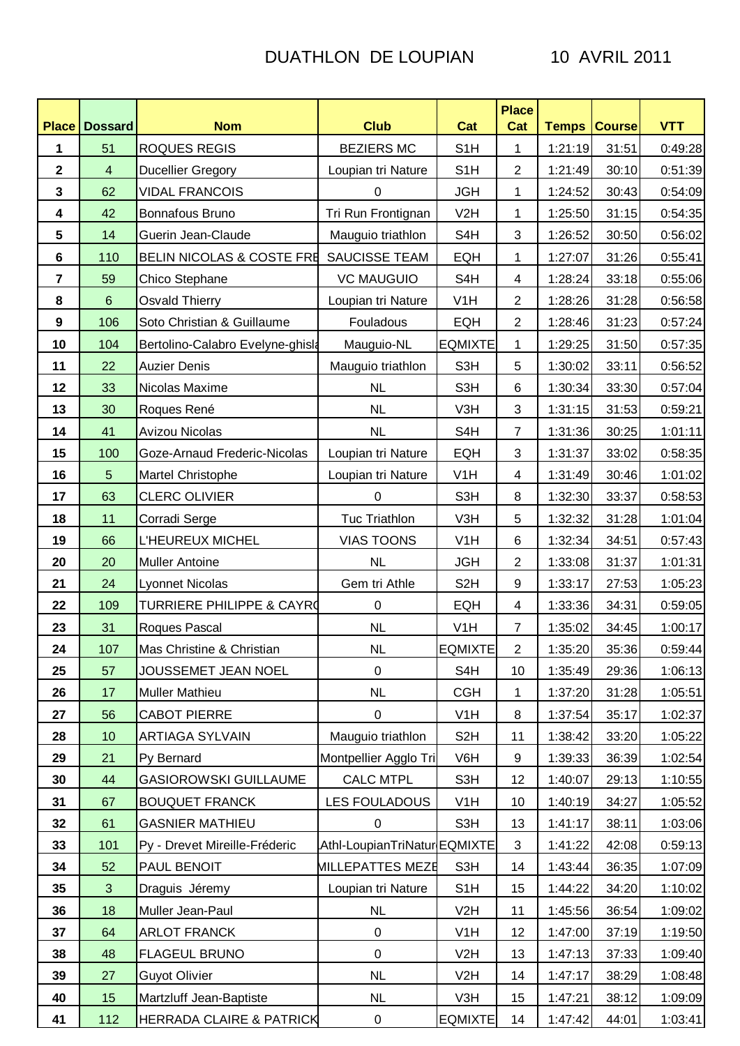## DUATHLON DE LOUPIAN 10 AVRIL 2011

| <b>Place</b>            | <b>Dossard</b> | <b>Nom</b>                           | <b>Club</b>                  | Cat              | <b>Place</b><br>Cat | <b>Temps Course</b> |       | <b>VTT</b> |
|-------------------------|----------------|--------------------------------------|------------------------------|------------------|---------------------|---------------------|-------|------------|
| 1                       | 51             | <b>ROQUES REGIS</b>                  | <b>BEZIERS MC</b>            | S <sub>1</sub> H | 1                   | 1:21:19             | 31:51 | 0:49:28    |
| $\mathbf 2$             | $\overline{4}$ | <b>Ducellier Gregory</b>             | Loupian tri Nature           | S <sub>1</sub> H | $\overline{2}$      | 1:21:49             | 30:10 | 0:51:39    |
| 3                       | 62             | <b>VIDAL FRANCOIS</b>                | 0                            | <b>JGH</b>       | 1                   | 1:24:52             | 30:43 | 0:54:09    |
| $\overline{\mathbf{4}}$ | 42             | Bonnafous Bruno                      | Tri Run Frontignan           | V <sub>2</sub> H | 1                   | 1:25:50             | 31:15 | 0:54:35    |
| 5                       | 14             | Guerin Jean-Claude                   | Mauguio triathlon            | S4H              | 3                   | 1:26:52             | 30:50 | 0:56:02    |
| $\bf 6$                 | 110            | <b>BELIN NICOLAS &amp; COSTE FRE</b> | SAUCISSE TEAM                | EQH              | 1                   | 1:27:07             | 31:26 | 0:55:41    |
| $\overline{7}$          | 59             | Chico Stephane                       | <b>VC MAUGUIO</b>            | S4H              | $\overline{4}$      | 1:28:24             | 33:18 | 0:55:06    |
| 8                       | $6\phantom{1}$ | <b>Osvald Thierry</b>                | Loupian tri Nature           | V <sub>1</sub> H | $\overline{2}$      | 1:28:26             | 31:28 | 0:56:58    |
| 9                       | 106            | Soto Christian & Guillaume           | Fouladous                    | EQH              | $\overline{2}$      | 1:28:46             | 31:23 | 0:57:24    |
| 10                      | 104            | Bertolino-Calabro Evelyne-ghisk      | Mauguio-NL                   | <b>EQMIXTE</b>   | 1                   | 1:29:25             | 31:50 | 0:57:35    |
| 11                      | 22             | <b>Auzier Denis</b>                  | Mauguio triathlon            | S3H              | 5                   | 1:30:02             | 33:11 | 0:56:52    |
| 12                      | 33             | Nicolas Maxime                       | <b>NL</b>                    | S3H              | 6                   | 1:30:34             | 33:30 | 0:57:04    |
| 13                      | 30             | Roques René                          | <b>NL</b>                    | V3H              | 3                   | 1:31:15             | 31:53 | 0:59:21    |
| 14                      | 41             | Avizou Nicolas                       | NL                           | S <sub>4</sub> H | $\overline{7}$      | 1:31:36             | 30:25 | 1:01:11    |
| 15                      | 100            | Goze-Arnaud Frederic-Nicolas         | Loupian tri Nature           | <b>EQH</b>       | $\mathbf{3}$        | 1:31:37             | 33:02 | 0:58:35    |
| 16                      | 5              | Martel Christophe                    | Loupian tri Nature           | V <sub>1</sub> H | 4                   | 1:31:49             | 30:46 | 1:01:02    |
| 17                      | 63             | <b>CLERC OLIVIER</b>                 | $\pmb{0}$                    | S3H              | 8                   | 1:32:30             | 33:37 | 0:58:53    |
| 18                      | 11             | Corradi Serge                        | <b>Tuc Triathlon</b>         | V3H              | 5                   | 1:32:32             | 31:28 | 1:01:04    |
| 19                      | 66             | L'HEUREUX MICHEL                     | <b>VIAS TOONS</b>            | V1H              | $6\phantom{1}$      | 1:32:34             | 34:51 | 0:57:43    |
| 20                      | 20             | <b>Muller Antoine</b>                | <b>NL</b>                    | <b>JGH</b>       | $\overline{2}$      | 1:33:08             | 31:37 | 1:01:31    |
| 21                      | 24             | <b>Lyonnet Nicolas</b>               | Gem tri Athle                | S <sub>2</sub> H | 9                   | 1:33:17             | 27:53 | 1:05:23    |
| 22                      | 109            | <b>TURRIERE PHILIPPE &amp; CAYRO</b> | $\mathbf 0$                  | EQH              | 4                   | 1:33:36             | 34:31 | 0:59:05    |
| 23                      | 31             | Roques Pascal                        | <b>NL</b>                    | V <sub>1</sub> H | $\overline{7}$      | 1:35:02             | 34:45 | 1:00:17    |
| 24                      | 107            | Mas Christine & Christian            | <b>NL</b>                    | <b>EQMIXTE</b>   | 2                   | 1:35:20             | 35:36 | 0:59:44    |
| 25                      | 57             | JOUSSEMET JEAN NOEL                  | 0                            | S <sub>4</sub> H | 10                  | 1:35:49             | 29:36 | 1:06:13    |
| 26                      | 17             | <b>Muller Mathieu</b>                | NL                           | <b>CGH</b>       | 1                   | 1:37:20             | 31:28 | 1:05:51    |
| 27                      | 56             | CABOT PIERRE                         | 0                            | V <sub>1</sub> H | 8                   | 1:37:54             | 35:17 | 1:02:37    |
| 28                      | 10             | ARTIAGA SYLVAIN                      | Mauguio triathlon            | S <sub>2</sub> H | 11                  | 1:38:42             | 33:20 | 1:05:22    |
| 29                      | 21             | Py Bernard                           | Montpellier Agglo Tri        | V6H              | 9                   | 1:39:33             | 36:39 | 1:02:54    |
| 30                      | 44             | <b>GASIOROWSKI GUILLAUME</b>         | <b>CALC MTPL</b>             | S3H              | 12                  | 1:40:07             | 29:13 | 1:10:55    |
| 31                      | 67             | <b>BOUQUET FRANCK</b>                | LES FOULADOUS                | V <sub>1</sub> H | 10                  | 1:40:19             | 34:27 | 1:05:52    |
| 32                      | 61             | <b>GASNIER MATHIEU</b>               | $\mathbf 0$                  | S3H              | 13                  | 1:41:17             | 38:11 | 1:03:06    |
| 33                      | 101            | Py - Drevet Mireille-Fréderic        | Athl-LoupianTriNatur EQMIXTE |                  | 3                   | 1:41:22             | 42:08 | 0:59:13    |
| 34                      | 52             | PAUL BENOIT                          | <b>MILLEPATTES MEZE</b>      | S3H              | 14                  | 1:43:44             | 36:35 | 1:07:09    |
| 35                      | $\mathbf{3}$   | Draguis Jéremy                       | Loupian tri Nature           | S <sub>1</sub> H | 15                  | 1:44:22             | 34:20 | 1:10:02    |
| 36                      | 18             | Muller Jean-Paul                     | NL                           | V2H              | 11                  | 1:45:56             | 36:54 | 1:09:02    |
| 37                      | 64             | <b>ARLOT FRANCK</b>                  | $\pmb{0}$                    | V <sub>1</sub> H | 12                  | 1:47:00             | 37:19 | 1:19:50    |
| 38                      | 48             | <b>FLAGEUL BRUNO</b>                 | 0                            | V <sub>2</sub> H | 13                  | 1:47:13             | 37:33 | 1:09:40    |
| 39                      | 27             | <b>Guyot Olivier</b>                 | <b>NL</b>                    | V <sub>2</sub> H | 14                  | 1:47:17             | 38:29 | 1:08:48    |
| 40                      | 15             | Martzluff Jean-Baptiste              | <b>NL</b>                    | V3H              | 15                  | 1:47:21             | 38:12 | 1:09:09    |
| 41                      | 112            | <b>HERRADA CLAIRE &amp; PATRICK</b>  | 0                            | <b>EQMIXTE</b>   | 14                  | 1:47:42             | 44:01 | 1:03:41    |